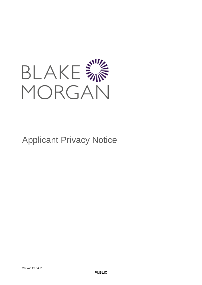

# Applicant Privacy Notice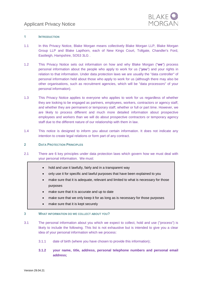

# **1 INTRODUCTION**

- 1.1 In this Privacy Notice, Blake Morgan means collectively Blake Morgan LLP, Blake Morgan Group LLP and Blake Lapthorn, each of New Kings Court, Tollgate, Chandler's Ford, Eastleigh, Hampshire, SO53 3LG .
- 1.2 This Privacy Notice sets out information on how and why Blake Morgan ("**we**") process personal information about the people who apply to work for us ("**you**") and your rights in relation to that information. Under data protection laws we are usually the "data controller" of personal information held about those who apply to work for us (although there may also be other organisations, such as recruitment agencies, which will be "data processors" of your personal information).
- 1.3 This Privacy Notice applies to everyone who applies to work for us regardless of whether they are looking to be engaged as partners, employees, workers, contractors or agency staff, and whether they are permanent or temporary staff, whether or full or part time. However, we are likely to process different and much more detailed information about prospective employees and workers than we will do about prospective contractors or temporary agency staff due to the different nature of our relationship with them in law.
- 1.4 This notice is designed to inform you about certain information. It does not indicate any intention to create legal relations or form part of any contract.

# <span id="page-1-0"></span>**2 DATA PROTECTION PRINCIPLES**

- 2.1 There are 6 key principles under data protection laws which govern how we must deal with your personal information. We must:
	- hold and use it lawfully, fairly and in a transparent way
	- only use it for specific and lawful purposes that have been explained to you
	- make sure that it is adequate, relevant and limited to what is necessary for those purposes
	- make sure that it is accurate and up to date
	- make sure that we only keep it for as long as is necessary for those purposes
	- make sure that it is kept securely

# <span id="page-1-1"></span>**3 WHAT INFORMATION DO WE COLLECT ABOUT YOU?**

- 3.1 The personal information about you which we expect to collect, hold and use ("process") is likely to include the following. This list is not exhaustive but is intended to give you a clear idea of your personal information which we process:
	- 3.1.1 date of birth (where you have chosen to provide this information);
	- **3.1.2 your name, title, address, personal telephone numbers and personal email address;**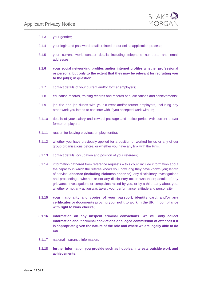

- 3.1.3 your gender;
- 3.1.4 your login and password details related to our online application process;
- 3.1.5 your current work contact details including telephone numbers, and email addresses;
- **3.1.6 your social networking profiles and/or internet profiles whether professional or personal but only to the extent that they may be relevant for recruiting you to the job(s) in question;**
- 3.1.7 contact details of your current and/or former employers;
- 3.1.8 education records, training records and records of qualifications and achievements;
- 3.1.9 job title and job duties with your current and/or former employers, including any other work you intend to continue with if you accepted work with us;
- 3.1.10 details of your salary and reward package and notice period with current and/or former employers;
- 3.1.11 reason for leaving previous employment(s);
- 3.1.12 whether you have previously applied for a position or worked for us or any of our group organisations before, or whether you have any link with the Firm;
- 3.1.13 contact details, occupation and position of your referees;
- 3.1.14 information gathered from reference requests this could include information about the capacity in which the referee knows you; how long they have known you; length of service; **absence (including sickness absence)**; any disciplinary investigations and proceedings, whether or not any disciplinary action was taken; details of any grievance investigations or complaints raised by you, or by a third party about you, whether or not any action was taken; your performance, attitude and personality;
- **3.1.15 your nationality and copies of your passport, identity card, and/or any certificates or documents proving your right to work in the UK, in compliance with right to work checks;**
- **3.1.16 information on any unspent criminal convictions. We will only collect information about criminal convictions or alleged commission of offences if it is appropriate given the nature of the role and where we are legally able to do so;**
- 3.1.17 national insurance information;
- **3.1.18 further information you provide such as hobbies, interests outside work and achievements;**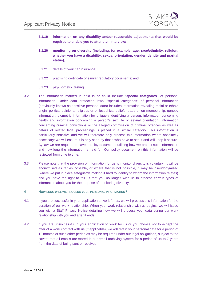

- **3.1.19 information on any disability and/or reasonable adjustments that would be required to enable you to attend an interview;**
- **3.1.20 monitoring on diversity (including, for example, age, race/ethnicity, religion, whether you have a disability, sexual orientation, gender identity and marital status);**
- 3.1.21 details of your car insurance;
- 3.1.22 practising certificate or similar regulatory documents; and
- 3.1.23 psychometric testing.
- 3.2 The information marked in bold is or could include "**special categories**" of personal information. Under data protection laws, "special categories" of personal information (previously known as sensitive personal data) includes information revealing racial or ethnic origin, political opinions, religious or philosophical beliefs, trade union membership, genetic information, biometric information for uniquely identifying a person, information concerning health and information concerning a person's sex life or sexual orientation. Information concerning criminal convictions or the alleged commission of criminal offences as well as details of related legal proceedings is placed in a similar category. This information is particularly sensitive and we will therefore only process this information where absolutely necessary: we will ensure it is only seen by those who have to see it and will keep it secure. By law we are required to have a policy document outlining how we protect such information and how long the information is held for. Our policy document on this information will be reviewed from time to time.
- 3.3 Please note that the provision of information for us to monitor diversity is voluntary. It will be anonymised as far as possible, or where that is not possible, it may be pseudonymised (where we put in place safeguards making it hard to identify to whom the information relates) and you have the right to tell us that you no longer wish us to process certain types of information about you for the purpose of monitoring diversity.
- **4 HOW LONG WILL WE PROCESS YOUR PERSONAL INFORMATION?**
- 4.1 If you are successful in your application to work for us, we will process this information for the duration of our work relationship. When your work relationship with us begins, we will issue you with a Staff Privacy Notice detailing how we will process your data during our work relationship with you and after it ends.
- 4.2 If you are unsuccessful in your application to work for us or you choose not to accept the offer of a work contract with us (if applicable), we will retain your personal data for a period of 12 months or such other period as may be required under our legal obligations, subject to the caveat that all emails are stored in our email archiving system for a period of up to 7 years from the date of being sent or received.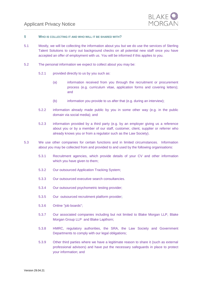

#### <span id="page-4-0"></span>**5 WHO IS COLLECTING IT AND WHO WILL IT BE SHARED WITH?**

- 5.1 Mostly, we will be collecting the information about you but we do use the services of Sterling Talent Solutions to carry out background checks on all potential new staff once you have accepted an offer of employment with us. You will be informed if this applies to you.
- 5.2 The personal information we expect to collect about you may be:
	- 5.2.1 provided directly to us by you such as:
		- (a) information received from you through the recruitment or procurement process (e.g. curriculum vitae, application forms and covering letters); and
		- (b) information you provide to us after that (e.g. during an interview);
	- 5.2.2 information already made public by you in some other way (e.g. in the public domain via social media); and
	- 5.2.3 information provided by a third party (e.g. by an employer giving us a reference about you or by a member of our staff, customer, client, supplier or referrer who already knows you or from a regulator such as the Law Society).
- 5.3 We use other companies for certain functions and in limited circumstances. Information about you may be collected from and provided to and used by the following organisations:
	- 5.3.1 Recruitment agencies, which provide details of your CV and other information which you have given to them;
	- 5.3.2 Our outsourced Application Tracking System;
	- 5.3.3 Our outsourced executive search consultancies.
	- 5.3.4 Our outsourced psychometric testing provider;
	- 5.3.5 Our outsourced recruitment platform provider;
	- 5.3.6 Online "job boards";
	- 5.3.7 Our associated companies including but not limited to Blake Morgan LLP, Blake Morgan Group LLP and Blake Lapthorn;
	- 5.3.8 HMRC, regulatory authorities, the SRA, the Law Society and Government Departments to comply with our legal obligations;
	- 5.3.9 Other third parties where we have a legitimate reason to share it (such as external professional advisors) and have put the necessary safeguards in place to protect your information; and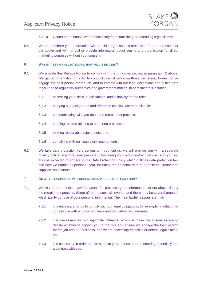

- 5.3.10 Courts and tribunals where necessary for establishing or defending legal claims;
- 5.4 We do not share your information with outside organisations other than for the purposes set out above and will not sell or provide information about you to any organisation for direct marketing purposes without your consent.
- <span id="page-5-0"></span>**6 WHY IS IT BEING COLLECTED AND HOW WILL IT BE USED?**
- 6.1 We provide this Privacy Notice to comply with the principles set out at paragraph [2](#page-1-0) above. We gather information in order to conduct due diligence on those we recruit, to ensure we engage the best person for the job, and to comply with our legal obligations and duties both to you and to regulatory authorities and government bodies. In particular this includes:
	- 6.1.1 assessing your skills, qualifications, and suitability for the role;
	- 6.1.2 carrying out background and reference checks, where applicable;
	- 6.1.3 communicating with you about the recruitment process;
	- 6.1.4 keeping records relating to our hiring processes;
	- 6.1.5 making reasonable adjustments; and
	- 6.1.6 complying with our regulatory requirements.
- 6.2 We take data protection very seriously. If you join us, we will provide you with a separate privacy notice regarding your personal data during your work contract with us, and you will also be expected to adhere to our Data Protection Policy which outlines data protection law and how we handle all personal data, including the personal data of our clients, customers, suppliers and contacts.

# <span id="page-5-1"></span>**7 ON WHAT GROUNDS DO WE PROCESS YOUR PERSONAL INFORMATION?**

- 7.1 We rely on a number of lawful reasons for processing the information set out above during the recruitment process. Some of the reasons will overlap and there may be several grounds which justify our use of your personal information. The main lawful reasons are that:
	- 7.1.1 it is necessary for us to comply with our legal obligations, for example, in relation to compliance with employment laws and regulatory requirements;
	- 7.1.2 it is necessary for our legitimate interests, which in these circumstances are to decide whether to appoint you to the role and ensure we engage the best person for the job and our business, and where necessary establish or defend legal claims; and
	- 7.1.3 it is necessary in order to take steps at your request prior to entering potentially into a contract with you.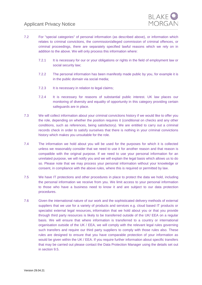

- 7.2 For "special categories" of personal information (as described above), or information which relates to criminal convictions, the commission/alleged commission of criminal offences, or criminal proceedings, there are separately specified lawful reasons which we rely on in addition to the above. We will only process this information where:
	- 7.2.1 It is necessary for our or your obligations or rights in the field of employment law or social security law;
	- 7.2.2 The personal information has been manifestly made public by you, for example it is in the public domain via social media;
	- 7.2.3 It is necessary in relation to legal claims;
	- 7.2.4 It is necessary for reasons of substantial public interest. UK law places our monitoring of diversity and equality of opportunity in this category providing certain safeguards are in place.
- 7.3 We will collect information about your criminal convictions history if we would like to offer you the role, depending on whether the position requires it (conditional on checks and any other conditions, such as references, being satisfactory). We are entitled to carry out a criminal records check in order to satisfy ourselves that there is nothing in your criminal convictions history which makes you unsuitable for the role.
- 7.4 The information we hold about you will be used for the purposes for which it is collected unless we reasonably consider that we need to use it for another reason and that reason is compatible with the original purpose. If we need to use your personal information for an unrelated purpose, we will notify you and we will explain the legal basis which allows us to do so. Please note that we may process your personal information without your knowledge or consent, in compliance with the above rules, where this is required or permitted by law.
- 7.5 We have IT protections and other procedures in place to protect the data we hold, including the personal information we receive from you. We limit access to your personal information to those who have a business need to know it and are subject to our data protection procedures.
- 7.6 Given the international nature of our work and the sophisticated delivery methods of external suppliers that we use for a variety of products and services e.g. cloud based IT products or specialist external legal resources, information that we hold about you or that you provide through third party resources is likely to be transferred outside of the UK/ EEA on a regular basis. We will ensure that where information is transferred to a country or international organisation outside of the UK / EEA, we will comply with the relevant legal rules governing such transfers and require our third party suppliers to comply with those rules also. These rules are designed to ensure that you have comparable protection of your information as would be given within the UK / EEA. If you require further information about specific transfers that may be carried out please contact the Data Protection Manager using the details set out in section 9.5.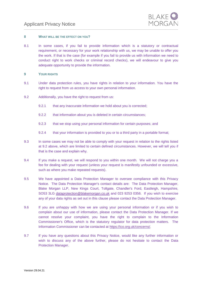

#### **8 WHAT WILL BE THE EFFECT ON YOU?**

8.1 In some cases, if you fail to provide information which is a statutory or contractual requirement, or necessary for your work relationship with us, we may be unable to offer you the work. If that is the case (for example if you fail to provide us with information we need to conduct right to work checks or criminal record checks), we will endeavour to give you adequate opportunity to provide the information.

#### **9 YOUR RIGHTS**

- 9.1 Under data protection rules, you have rights in relation to your information. You have the right to request from us access to your own personal information.
- <span id="page-7-0"></span>9.2 Additionally, you have the right to request from us:
	- 9.2.1 that any inaccurate information we hold about you is corrected;
	- 9.2.2 that information about you is deleted in certain circumstances;
	- 9.2.3 that we stop using your personal information for certain purposes; and
	- 9.2.4 that your information is provided to you or to a third party in a portable format;
- 9.3 In some cases we may not be able to comply with your request in relation to the rights listed at [9.2](#page-7-0) above, which are limited to certain defined circumstances. However, we will tell you if that is the case and explain why.
- 9.4 If you make a request, we will respond to you within one month. We will not charge you a fee for dealing with your request (unless your request is manifestly unfounded or excessive, such as where you make repeated requests).
- 9.5 We have appointed a Data Protection Manager to oversee compliance with this Privacy Notice. The Data Protection Manager's contact details are: The Data Protection Manager, Blake Morgan LLP, New Kings Court, Tollgate, Chandler's Ford, Eastleigh, Hampshire, SO53 3LG [dataprotection@blakemorgan.co.uk](mailto:dataprotection@blakemorgan.co.uk) and 023 9253 0356. If you wish to exercise any of your data rights as set out in this clause please contact the Data Protection Manager.
- 9.6 If you are unhappy with how we are using your personal information or if you wish to complain about our use of information, please contact the Data Protection Manager. If we cannot resolve your complaint, you have the right to complain to the Information Commissioner's Office, which is the statutory regulator for data protection matters. The Information Commissioner can be contacted at [https://ico.org.uk/concerns/.](https://ico.org.uk/concerns/)
- 9.7 If you have any questions about this Privacy Notice, would like any further information or wish to discuss any of the above further, please do not hesitate to contact the Data Protection Manager.